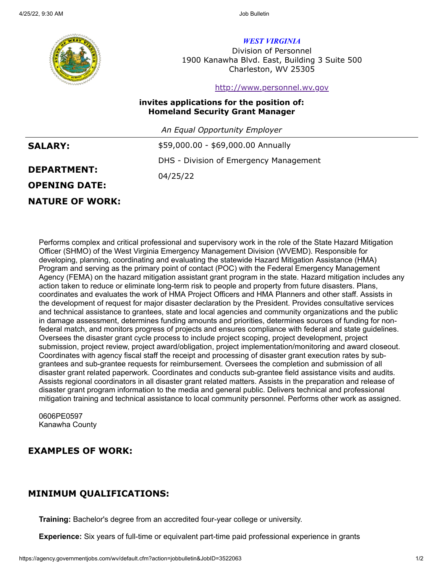

*WEST VIRGINIA*

Division of Personnel 1900 Kanawha Blvd. East, Building 3 Suite 500 Charleston, WV 25305

### [http://www.personnel.wv.gov](http://www.personnel.wv.gov/)

## **invites applications for the position of: Homeland Security Grant Manager**

*An Equal Opportunity Employer*

| <b>SALARY:</b>       | \$59,000.00 - \$69,000.00 Annually     |
|----------------------|----------------------------------------|
|                      | DHS - Division of Emergency Management |
| <b>DEPARTMENT:</b>   | 04/25/22                               |
| <b>OPENING DATE:</b> |                                        |
|                      |                                        |

# **NATURE OF WORK:**

Performs complex and critical professional and supervisory work in the role of the State Hazard Mitigation Officer (SHMO) of the West Virginia Emergency Management Division (WVEMD). Responsible for developing, planning, coordinating and evaluating the statewide Hazard Mitigation Assistance (HMA) Program and serving as the primary point of contact (POC) with the Federal Emergency Management Agency (FEMA) on the hazard mitigation assistant grant program in the state. Hazard mitigation includes any action taken to reduce or eliminate long-term risk to people and property from future disasters. Plans, coordinates and evaluates the work of HMA Project Officers and HMA Planners and other staff. Assists in the development of request for major disaster declaration by the President. Provides consultative services and technical assistance to grantees, state and local agencies and community organizations and the public in damage assessment, determines funding amounts and priorities, determines sources of funding for nonfederal match, and monitors progress of projects and ensures compliance with federal and state guidelines. Oversees the disaster grant cycle process to include project scoping, project development, project submission, project review, project award/obligation, project implementation/monitoring and award closeout. Coordinates with agency fiscal staff the receipt and processing of disaster grant execution rates by subgrantees and sub-grantee requests for reimbursement. Oversees the completion and submission of all disaster grant related paperwork. Coordinates and conducts sub-grantee field assistance visits and audits. Assists regional coordinators in all disaster grant related matters. Assists in the preparation and release of disaster grant program information to the media and general public. Delivers technical and professional mitigation training and technical assistance to local community personnel. Performs other work as assigned.

0606PE0597 Kanawha County

# **EXAMPLES OF WORK:**

# **MINIMUM QUALIFICATIONS:**

**Training:** Bachelor's degree from an accredited four-year college or university.

**Experience:** Six years of full-time or equivalent part-time paid professional experience in grants